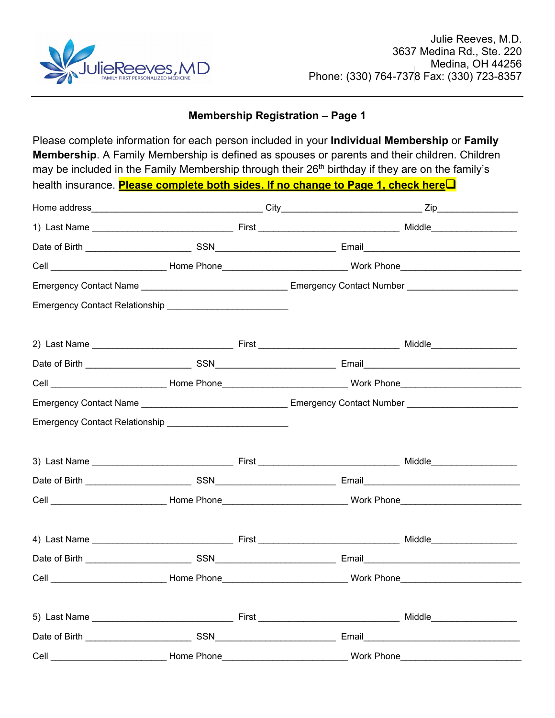

## **Membership Registration – Page 1**

Please complete information for each person included in your **Individual Membership** or **Family Membership**. A Family Membership is defined as spouses or parents and their children. Children may be included in the Family Membership through their 26<sup>th</sup> birthday if they are on the family's health insurance. **Please complete both sides. If no change to Page 1, check here**

| Cell __________________________________Home Phone_______________________________Work Phone__________________________ |  |  |
|----------------------------------------------------------------------------------------------------------------------|--|--|
|                                                                                                                      |  |  |
| Emergency Contact Relationship ___________________________                                                           |  |  |
|                                                                                                                      |  |  |
|                                                                                                                      |  |  |
| Cell _________________________________Home Phone_______________________________Work Phone___________________________ |  |  |
|                                                                                                                      |  |  |
| Emergency Contact Relationship _____________________________                                                         |  |  |
|                                                                                                                      |  |  |
|                                                                                                                      |  |  |
| Cell __________________________________Home Phone_______________________________Work Phone__________________________ |  |  |
|                                                                                                                      |  |  |
|                                                                                                                      |  |  |
| Cell __________________________________Home Phone_______________________________Work Phone__________________________ |  |  |
|                                                                                                                      |  |  |
|                                                                                                                      |  |  |
| Cell __________________________________Home Phone________________________________ Work Phone_____________            |  |  |